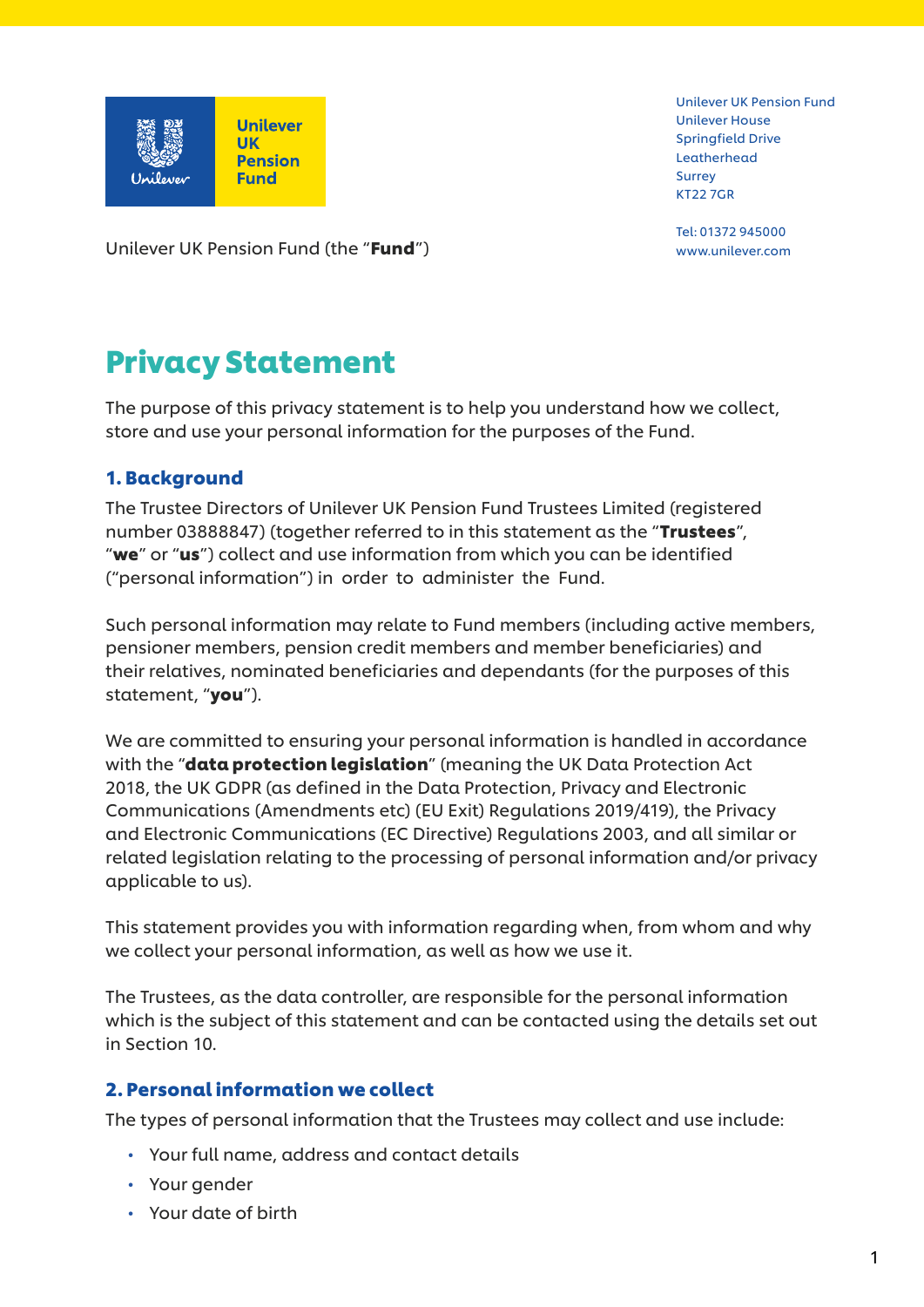

Unilever UK Pension Fund Unilever House Springfield Drive Leatherhead Surrey KT22 7GR

Tel: 01372 945000

Unilever UK Pension Fund (the "**Fund**") www.unilever.com

# Privacy Statement

The purpose of this privacy statement is to help you understand how we collect, store and use your personal information for the purposes of the Fund.

# 1. Background

The Trustee Directors of Unilever UK Pension Fund Trustees Limited (registered number 03888847) (together referred to in this statement as the "Trustees", "we" or "us") collect and use information from which you can be identified ("personal information") in order to administer the Fund.

Such personal information may relate to Fund members (including active members, pensioner members, pension credit members and member beneficiaries) and their relatives, nominated beneficiaries and dependants (for the purposes of this statement, "you").

We are committed to ensuring your personal information is handled in accordance with the "**data protection legislation**" (meaning the UK Data Protection Act 2018, the UK GDPR (as defined in the Data Protection, Privacy and Electronic Communications (Amendments etc) (EU Exit) Regulations 2019/419), the Privacy and Electronic Communications (EC Directive) Regulations 2003, and all similar or related legislation relating to the processing of personal information and/or privacy applicable to us).

This statement provides you with information regarding when, from whom and why we collect your personal information, as well as how we use it.

The Trustees, as the data controller, are responsible for the personal information which is the subject of this statement and can be contacted using the details set out in Section 10.

### 2. Personal information we collect

The types of personal information that the Trustees may collect and use include:

- Your full name, address and contact details
- Your gender
- Your date of birth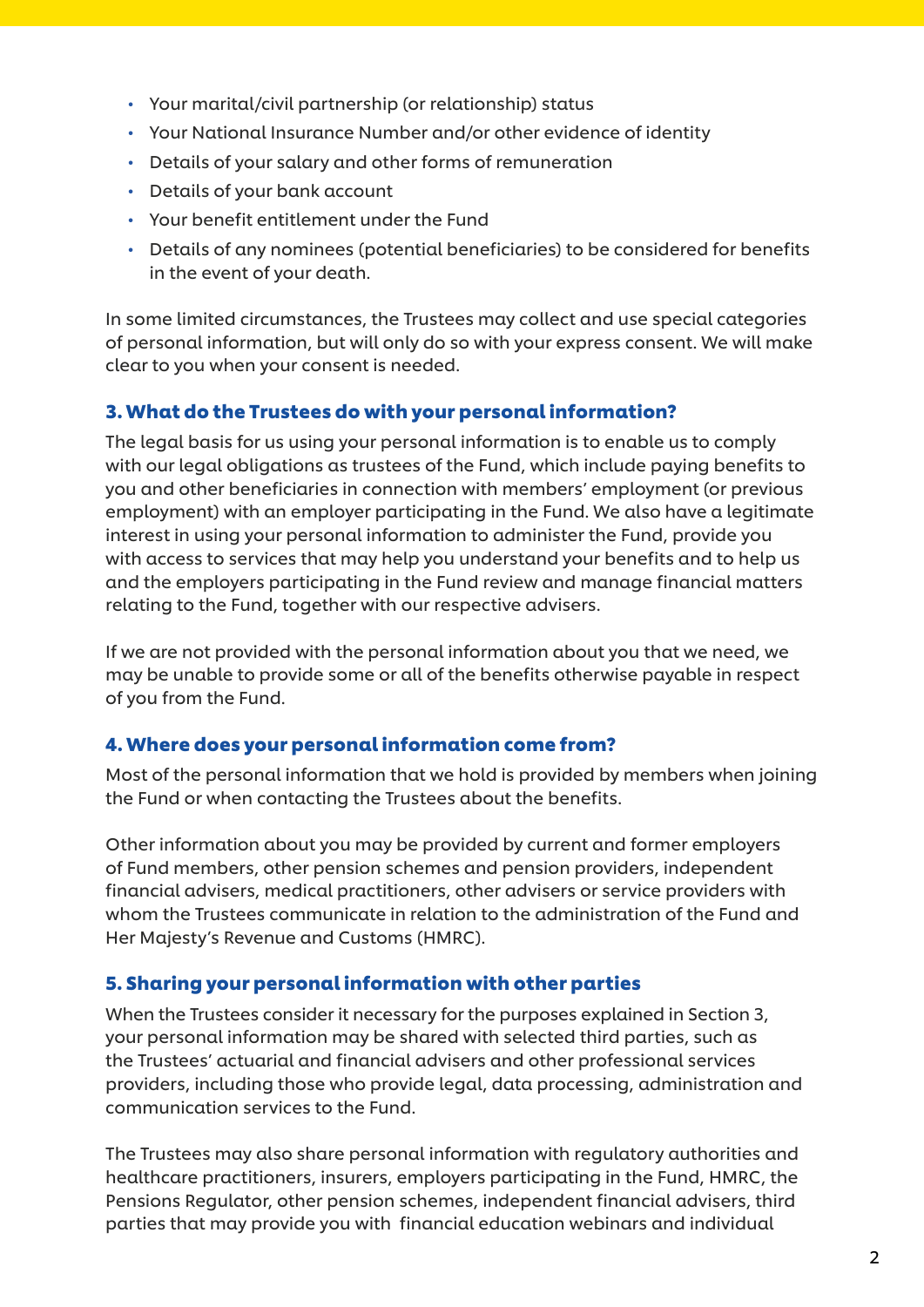- Your marital/civil partnership (or relationship) status
- Your National Insurance Number and/or other evidence of identity
- Details of your salary and other forms of remuneration
- Details of your bank account
- Your benefit entitlement under the Fund
- Details of any nominees (potential beneficiaries) to be considered for benefits in the event of your death.

In some limited circumstances, the Trustees may collect and use special categories of personal information, but will only do so with your express consent. We will make clear to you when your consent is needed.

#### 3. What do the Trustees do with your personal information?

The legal basis for us using your personal information is to enable us to comply with our legal obligations as trustees of the Fund, which include paying benefits to you and other beneficiaries in connection with members' employment (or previous employment) with an employer participating in the Fund. We also have a legitimate interest in using your personal information to administer the Fund, provide you with access to services that may help you understand your benefits and to help us and the employers participating in the Fund review and manage financial matters relating to the Fund, together with our respective advisers.

If we are not provided with the personal information about you that we need, we may be unable to provide some or all of the benefits otherwise payable in respect of you from the Fund.

#### 4. Where does your personal information come from?

Most of the personal information that we hold is provided by members when joining the Fund or when contacting the Trustees about the benefits.

Other information about you may be provided by current and former employers of Fund members, other pension schemes and pension providers, independent financial advisers, medical practitioners, other advisers or service providers with whom the Trustees communicate in relation to the administration of the Fund and Her Majesty's Revenue and Customs (HMRC).

### 5. Sharing your personal information with other parties

When the Trustees consider it necessary for the purposes explained in Section 3, your personal information may be shared with selected third parties, such as the Trustees' actuarial and financial advisers and other professional services providers, including those who provide legal, data processing, administration and communication services to the Fund.

The Trustees may also share personal information with regulatory authorities and healthcare practitioners, insurers, employers participating in the Fund, HMRC, the Pensions Regulator, other pension schemes, independent financial advisers, third parties that may provide you with financial education webinars and individual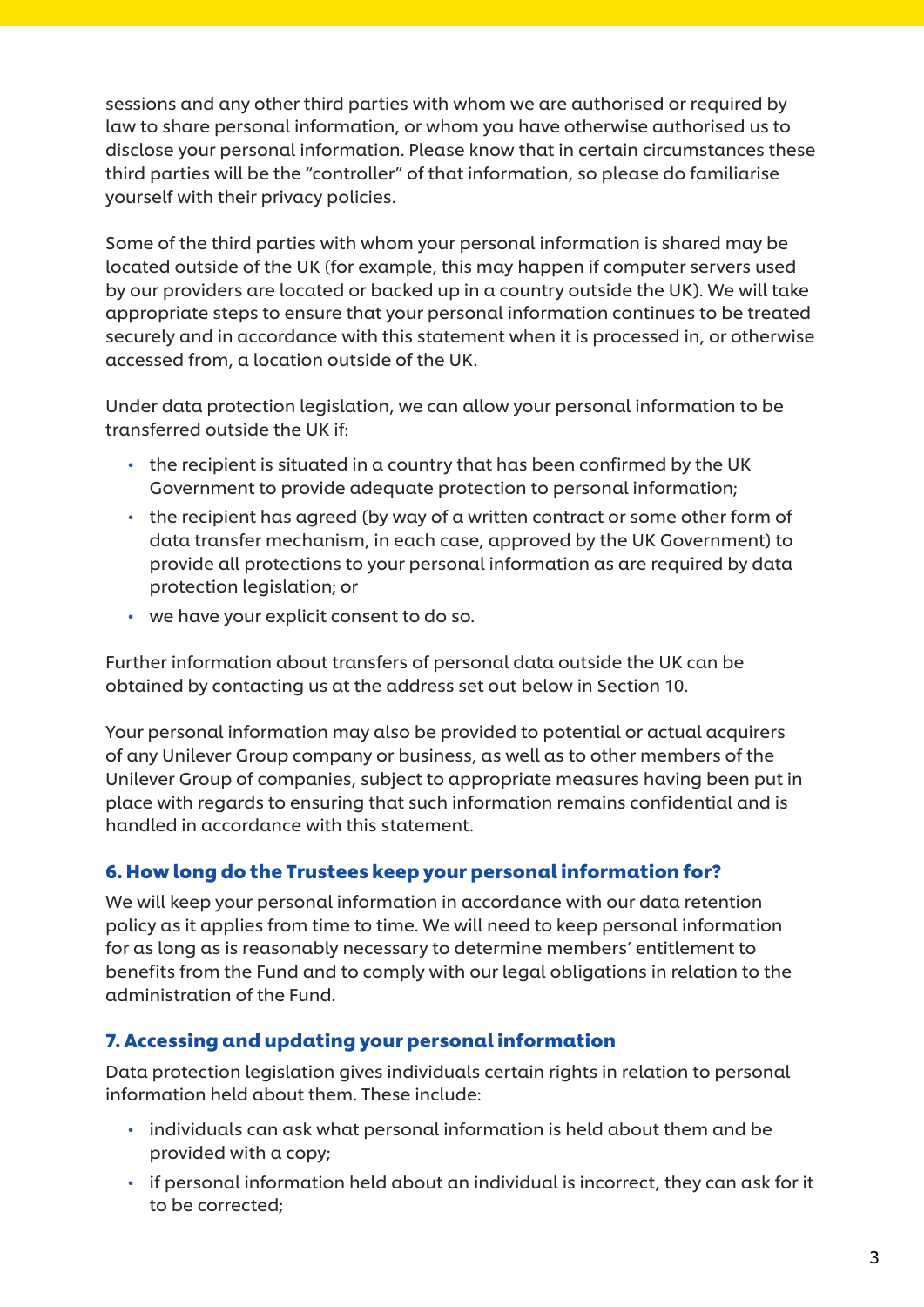sessions and any other third parties with whom we are authorised or required by law to share personal information, or whom you have otherwise authorised us to disclose your personal information. Please know that in certain circumstances these third parties will be the "controller" of that information, so please do familiarise yourself with their privacy policies.

Some of the third parties with whom your personal information is shared may be located outside of the UK (for example, this may happen if computer servers used by our providers are located or backed up in a country outside the UK). We will take appropriate steps to ensure that your personal information continues to be treated securely and in accordance with this statement when it is processed in, or otherwise accessed from, a location outside of the UK.

Under data protection legislation, we can allow your personal information to be transferred outside the UK if:

- the recipient is situated in a country that has been confirmed by the UK Government to provide adequate protection to personal information;
- the recipient has agreed (by way of a written contract or some other form of data transfer mechanism, in each case, approved by the UK Government) to provide all protections to your personal information as are required by data protection legislation; or
- we have your explicit consent to do so.

Further information about transfers of personal data outside the UK can be obtained by contacting us at the address set out below in Section 10.

Your personal information may also be provided to potential or actual acquirers of any Unilever Group company or business, as well as to other members of the Unilever Group of companies, subject to appropriate measures having been put in place with regards to ensuring that such information remains confidential and is handled in accordance with this statement.

### 6. How long do the Trustees keep your personal information for?

We will keep your personal information in accordance with our data retention policy as it applies from time to time. We will need to keep personal information for as long as is reasonably necessary to determine members' entitlement to benefits from the Fund and to comply with our legal obligations in relation to the administration of the Fund.

# 7. Accessing and updating your personal information

Data protection legislation gives individuals certain rights in relation to personal information held about them. These include:

- individuals can ask what personal information is held about them and be provided with a copy;
- if personal information held about an individual is incorrect, they can ask for it to be corrected;